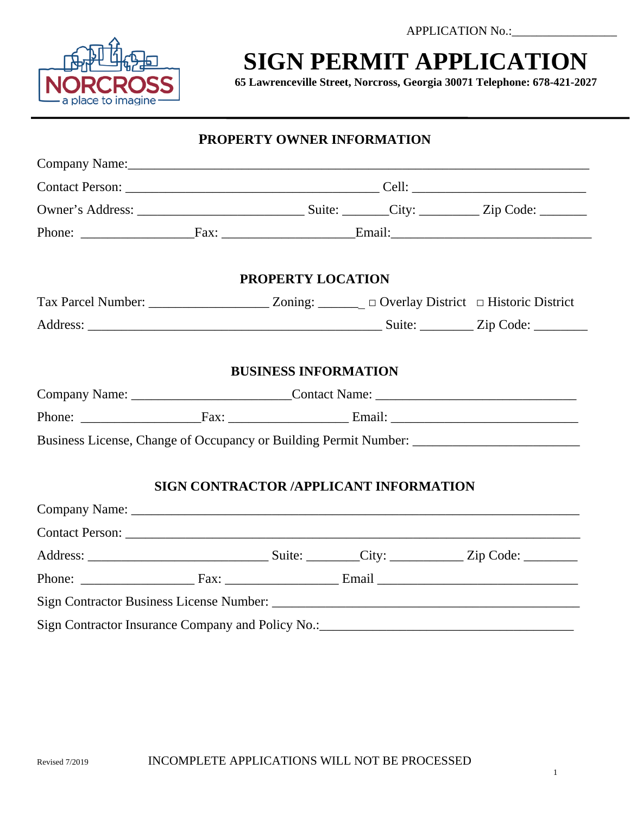APPLICATION No.:



### **SIGN PERMIT APPLICATION**

**65 Lawrenceville Street, Norcross, Georgia 30071 Telephone: 678-421-2027** 

|                                                                                   |                             | <b>PROPERTY OWNER INFORMATION</b>             |                                                                                   |
|-----------------------------------------------------------------------------------|-----------------------------|-----------------------------------------------|-----------------------------------------------------------------------------------|
|                                                                                   |                             |                                               |                                                                                   |
|                                                                                   |                             |                                               |                                                                                   |
|                                                                                   |                             |                                               |                                                                                   |
|                                                                                   |                             |                                               |                                                                                   |
|                                                                                   | PROPERTY LOCATION           |                                               |                                                                                   |
|                                                                                   |                             |                                               |                                                                                   |
|                                                                                   |                             |                                               |                                                                                   |
|                                                                                   | <b>BUSINESS INFORMATION</b> |                                               |                                                                                   |
| Company Name: _____________________________Contact Name: ________________________ |                             |                                               |                                                                                   |
|                                                                                   |                             |                                               |                                                                                   |
|                                                                                   |                             |                                               | Business License, Change of Occupancy or Building Permit Number:                  |
|                                                                                   |                             | <b>SIGN CONTRACTOR /APPLICANT INFORMATION</b> |                                                                                   |
|                                                                                   |                             |                                               |                                                                                   |
|                                                                                   |                             |                                               |                                                                                   |
|                                                                                   |                             |                                               |                                                                                   |
|                                                                                   |                             |                                               |                                                                                   |
|                                                                                   |                             |                                               |                                                                                   |
|                                                                                   |                             |                                               | Sign Contractor Insurance Company and Policy No.: _______________________________ |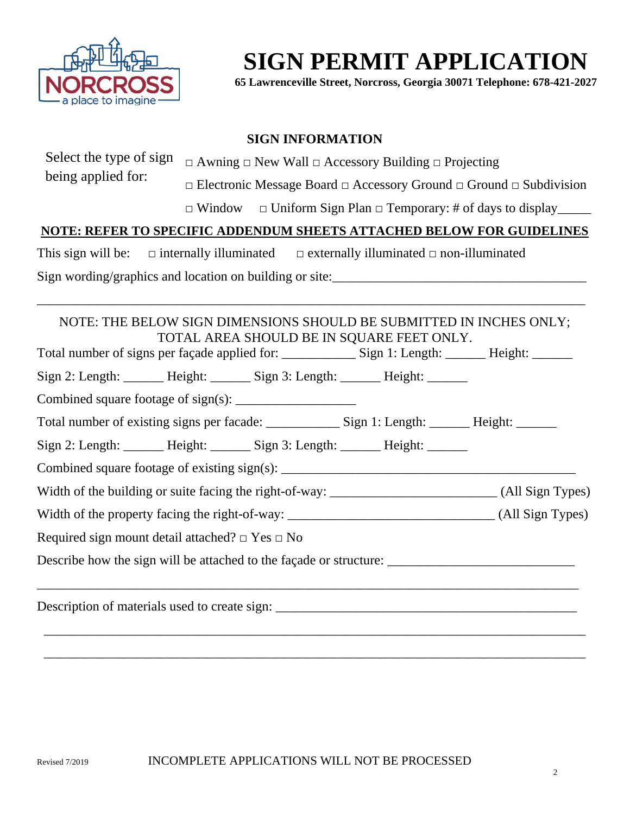

# **SIGN PERMIT APPLICATION**

**65 Lawrenceville Street, Norcross, Georgia 30071 Telephone: 678-421-2027** 

### **SIGN INFORMATION**

| Select the type of sign                                                                              | $\Box$ Awning $\Box$ New Wall $\Box$ Accessory Building $\Box$ Projecting                |  |                                                                                    |                                                                 |
|------------------------------------------------------------------------------------------------------|------------------------------------------------------------------------------------------|--|------------------------------------------------------------------------------------|-----------------------------------------------------------------|
| being applied for:                                                                                   | $\Box$ Electronic Message Board $\Box$ Accessory Ground $\Box$ Ground $\Box$ Subdivision |  |                                                                                    |                                                                 |
|                                                                                                      | $\Box$ Window                                                                            |  |                                                                                    | $\Box$ Uniform Sign Plan $\Box$ Temporary: # of days to display |
| NOTE: REFER TO SPECIFIC ADDENDUM SHEETS ATTACHED BELOW FOR GUIDELINES                                |                                                                                          |  |                                                                                    |                                                                 |
|                                                                                                      |                                                                                          |  |                                                                                    |                                                                 |
| This sign will be:                                                                                   |                                                                                          |  | $\Box$ internally illuminated $\Box$ externally illuminated $\Box$ non-illuminated |                                                                 |
|                                                                                                      |                                                                                          |  |                                                                                    |                                                                 |
| NOTE: THE BELOW SIGN DIMENSIONS SHOULD BE SUBMITTED IN INCHES ONLY;                                  |                                                                                          |  | TOTAL AREA SHOULD BE IN SQUARE FEET ONLY.                                          |                                                                 |
| Sign 2: Length: ______ Height: ______ Sign 3: Length: ______ Height: ______                          |                                                                                          |  |                                                                                    |                                                                 |
|                                                                                                      |                                                                                          |  |                                                                                    |                                                                 |
|                                                                                                      |                                                                                          |  |                                                                                    |                                                                 |
| Sign 2: Length: ______ Height: ______ Sign 3: Length: _____ Height: _____                            |                                                                                          |  |                                                                                    |                                                                 |
|                                                                                                      |                                                                                          |  |                                                                                    |                                                                 |
|                                                                                                      |                                                                                          |  |                                                                                    |                                                                 |
|                                                                                                      |                                                                                          |  |                                                                                    |                                                                 |
| Required sign mount detail attached? $\Box$ Yes $\Box$ No                                            |                                                                                          |  |                                                                                    |                                                                 |
| Describe how the sign will be attached to the façade or structure: _________________________________ |                                                                                          |  |                                                                                    |                                                                 |
|                                                                                                      |                                                                                          |  |                                                                                    |                                                                 |

\_\_\_\_\_\_\_\_\_\_\_\_\_\_\_\_\_\_\_\_\_\_\_\_\_\_\_\_\_\_\_\_\_\_\_\_\_\_\_\_\_\_\_\_\_\_\_\_\_\_\_\_\_\_\_\_\_\_\_\_\_\_\_\_\_\_\_\_\_\_\_\_\_\_\_\_\_\_\_\_\_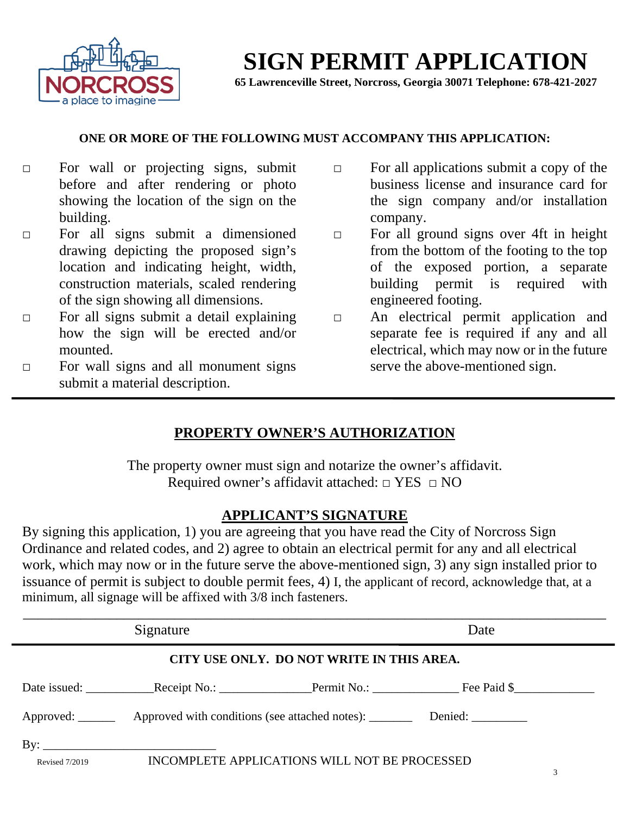

### **SIGN PERMIT APPLICATION**

**65 Lawrenceville Street, Norcross, Georgia 30071 Telephone: 678-421-2027** 

#### **ONE OR MORE OF THE FOLLOWING MUST ACCOMPANY THIS APPLICATION:**

- □ For wall or projecting signs, submit before and after rendering or photo showing the location of the sign on the building.
- □ For all signs submit a dimensioned drawing depicting the proposed sign's location and indicating height, width, construction materials, scaled rendering of the sign showing all dimensions.
- $\Box$  For all signs submit a detail explaining how the sign will be erected and/or mounted.
- □ For wall signs and all monument signs submit a material description.
- □ For all applications submit a copy of the business license and insurance card for the sign company and/or installation company.
- □ For all ground signs over 4ft in height from the bottom of the footing to the top of the exposed portion, a separate building permit is required with engineered footing.
- □ An electrical permit application and separate fee is required if any and all electrical, which may now or in the future serve the above-mentioned sign.

### **PROPERTY OWNER'S AUTHORIZATION**

The property owner must sign and notarize the owner's affidavit. Required owner's affidavit attached: □ YES □ NO

### **APPLICANT'S SIGNATURE**

By signing this application, 1) you are agreeing that you have read the City of Norcross Sign Ordinance and related codes, and 2) agree to obtain an electrical permit for any and all electrical work, which may now or in the future serve the above-mentioned sign, 3) any sign installed prior to issuance of permit is subject to double permit fees, 4) I, the applicant of record, acknowledge that, at a minimum, all signage will be affixed with 3/8 inch fasteners.

|                                           | Signature                                                                                           |                                               | Date |   |
|-------------------------------------------|-----------------------------------------------------------------------------------------------------|-----------------------------------------------|------|---|
| CITY USE ONLY. DO NOT WRITE IN THIS AREA. |                                                                                                     |                                               |      |   |
|                                           |                                                                                                     |                                               |      |   |
|                                           | Approved: ___________ Approved with conditions (see attached notes): ___________ Denied: __________ |                                               |      |   |
|                                           | By: $\overline{\phantom{a}}$                                                                        |                                               |      |   |
| <b>Revised 7/2019</b>                     |                                                                                                     | INCOMPLETE APPLICATIONS WILL NOT BE PROCESSED |      | 3 |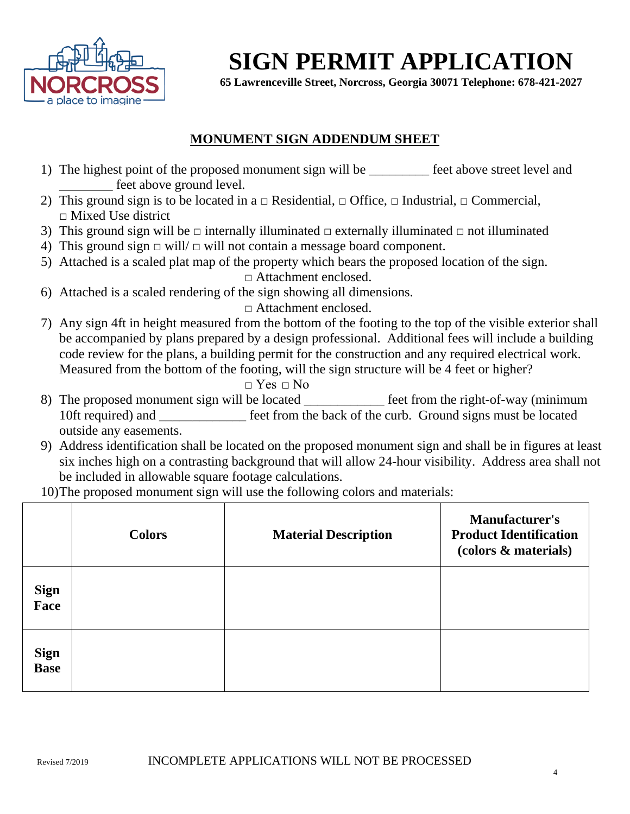

## **SIGN PERMIT APPLICATION**

**65 Lawrenceville Street, Norcross, Georgia 30071 Telephone: 678-421-2027** 

### **MONUMENT SIGN ADDENDUM SHEET**

- 1) The highest point of the proposed monument sign will be \_\_\_\_\_\_\_\_\_\_ feet above street level and \_\_\_\_\_\_\_\_ feet above ground level.
- 2) This ground sign is to be located in a  $\Box$  Residential,  $\Box$  Office,  $\Box$  Industrial,  $\Box$  Commercial, □ Mixed Use district
- 3) This ground sign will be  $\Box$  internally illuminated  $\Box$  externally illuminated  $\Box$  not illuminated
- 4) This ground sign  $\Box$  will/ $\Box$  will not contain a message board component.
- 5) Attached is a scaled plat map of the property which bears the proposed location of the sign.

□ Attachment enclosed.

6) Attached is a scaled rendering of the sign showing all dimensions.

□ Attachment enclosed.

7) Any sign 4ft in height measured from the bottom of the footing to the top of the visible exterior shall be accompanied by plans prepared by a design professional. Additional fees will include a building code review for the plans, a building permit for the construction and any required electrical work. Measured from the bottom of the footing, will the sign structure will be 4 feet or higher?

 $\Box$  Yes  $\Box$  No

- 8) The proposed monument sign will be located <u>feet</u> from the right-of-way (minimum 10ft required) and **EXECUTE:** from the back of the curb. Ground signs must be located outside any easements.
- 9) Address identification shall be located on the proposed monument sign and shall be in figures at least six inches high on a contrasting background that will allow 24-hour visibility. Address area shall not be included in allowable square footage calculations.

10)The proposed monument sign will use the following colors and materials:

|                            | <b>Colors</b> | <b>Material Description</b> | <b>Manufacturer's</b><br><b>Product Identification</b><br>(colors & materials) |
|----------------------------|---------------|-----------------------------|--------------------------------------------------------------------------------|
| <b>Sign</b><br>Face        |               |                             |                                                                                |
| <b>Sign</b><br><b>Base</b> |               |                             |                                                                                |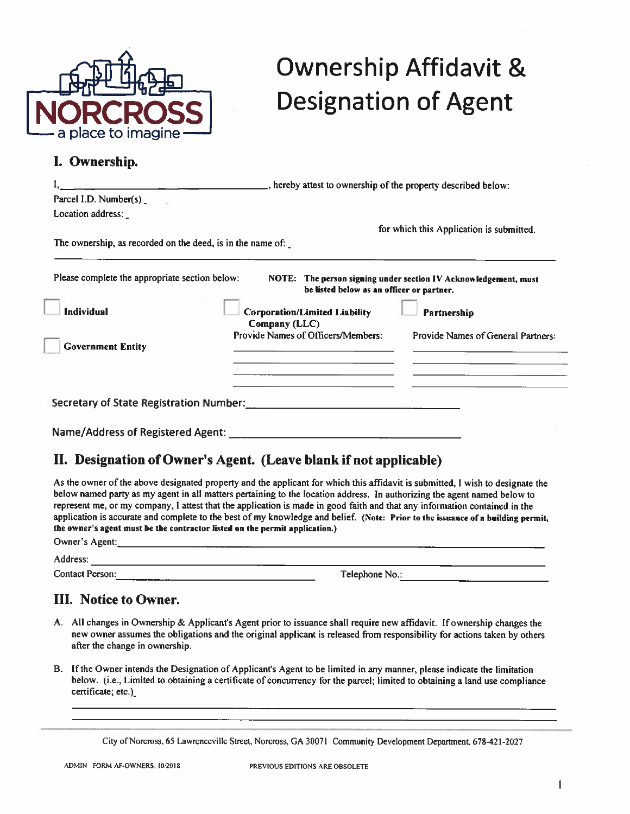

# **Ownership Affidavit & Designation of Agent**

#### I. Ownership.

|                                                            | _, hereby attest to ownership of the property described below: |                                                                 |  |
|------------------------------------------------------------|----------------------------------------------------------------|-----------------------------------------------------------------|--|
| Parcel I.D. Number(s)                                      |                                                                |                                                                 |  |
| Location address:                                          |                                                                |                                                                 |  |
|                                                            |                                                                | for which this Application is submitted.                        |  |
| The ownership, as recorded on the deed, is in the name of: |                                                                |                                                                 |  |
| Please complete the appropriate section below:             | be listed below as an officer or partner.                      | NOTE: The person signing under section IV Acknowledgement, must |  |
| <b>Individual</b>                                          | <b>Corporation/Limited Liability</b>                           | Partnership                                                     |  |
|                                                            | Company (LLC)                                                  |                                                                 |  |
| <b>Government Entity</b>                                   | Provide Names of Officers/Members:                             | Provide Names of General Partners:                              |  |
|                                                            |                                                                |                                                                 |  |
|                                                            |                                                                |                                                                 |  |
| Secretary of State Registration Number:                    |                                                                |                                                                 |  |
| <b>Name/Address of Registered Agent:</b>                   |                                                                |                                                                 |  |

### II. Designation of Owner's Agent. (Leave blank if not applicable)

As the owner of the above designated property and the applicant for which this affidavit is submitted. I wish to designate the below named party as my agent in all matters pertaining to the location address. In authorizing the agent named below to represent me, or my company, I attest that the application is made in good faith and that any information contained in the application is accurate and complete to the best of my knowledge and belief. (Note: Prior to the issuance of a building permit. the owner's agent must be the contractor listed on the permit application.) Owner's Agent:

Address:

**Contact Person:** 

Telephone No.:

### **III.** Notice to Owner.

- A. All changes in Ownership & Applicant's Agent prior to issuance shall require new affidavit. If ownership changes the new owner assumes the obligations and the original applicant is released from responsibility for actions taken by others after the change in ownership.
- B. If the Owner intends the Designation of Applicant's Agent to be limited in any manner, please indicate the limitation below. (i.e., Limited to obtaining a certificate of concurrency for the parcel; limited to obtaining a land use compliance certificate; etc.)

City of Norcross, 65 Lawrenceville Street, Norcross, GA 30071 Community Development Department, 678-421-2027